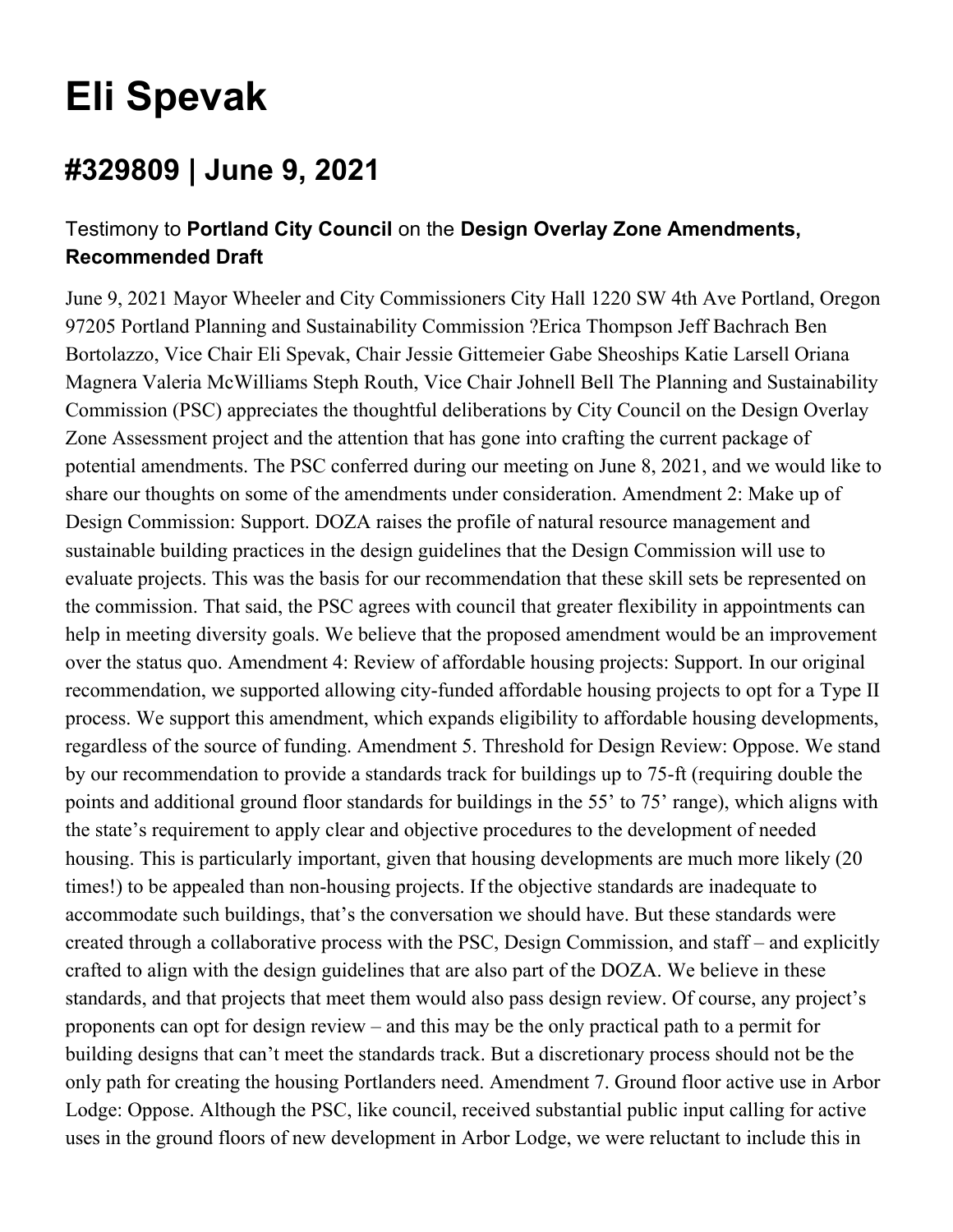## **Eli Spevak**

## **#329809 | June 9, 2021**

## Testimony to **Portland City Council** on the **Design Overlay Zone Amendments, Recommended Draft**

June 9, 2021 Mayor Wheeler and City Commissioners City Hall 1220 SW 4th Ave Portland, Oregon 97205 Portland Planning and Sustainability Commission ?Erica Thompson Jeff Bachrach Ben Bortolazzo, Vice Chair Eli Spevak, Chair Jessie Gittemeier Gabe Sheoships Katie Larsell Oriana Magnera Valeria McWilliams Steph Routh, Vice Chair Johnell Bell The Planning and Sustainability Commission (PSC) appreciates the thoughtful deliberations by City Council on the Design Overlay Zone Assessment project and the attention that has gone into crafting the current package of potential amendments. The PSC conferred during our meeting on June 8, 2021, and we would like to share our thoughts on some of the amendments under consideration. Amendment 2: Make up of Design Commission: Support. DOZA raises the profile of natural resource management and sustainable building practices in the design guidelines that the Design Commission will use to evaluate projects. This was the basis for our recommendation that these skill sets be represented on the commission. That said, the PSC agrees with council that greater flexibility in appointments can help in meeting diversity goals. We believe that the proposed amendment would be an improvement over the status quo. Amendment 4: Review of affordable housing projects: Support. In our original recommendation, we supported allowing city-funded affordable housing projects to opt for a Type II process. We support this amendment, which expands eligibility to affordable housing developments, regardless of the source of funding. Amendment 5. Threshold for Design Review: Oppose. We stand by our recommendation to provide a standards track for buildings up to 75-ft (requiring double the points and additional ground floor standards for buildings in the 55' to 75' range), which aligns with the state's requirement to apply clear and objective procedures to the development of needed housing. This is particularly important, given that housing developments are much more likely (20 times!) to be appealed than non-housing projects. If the objective standards are inadequate to accommodate such buildings, that's the conversation we should have. But these standards were created through a collaborative process with the PSC, Design Commission, and staff – and explicitly crafted to align with the design guidelines that are also part of the DOZA. We believe in these standards, and that projects that meet them would also pass design review. Of course, any project's proponents can opt for design review – and this may be the only practical path to a permit for building designs that can't meet the standards track. But a discretionary process should not be the only path for creating the housing Portlanders need. Amendment 7. Ground floor active use in Arbor Lodge: Oppose. Although the PSC, like council, received substantial public input calling for active uses in the ground floors of new development in Arbor Lodge, we were reluctant to include this in